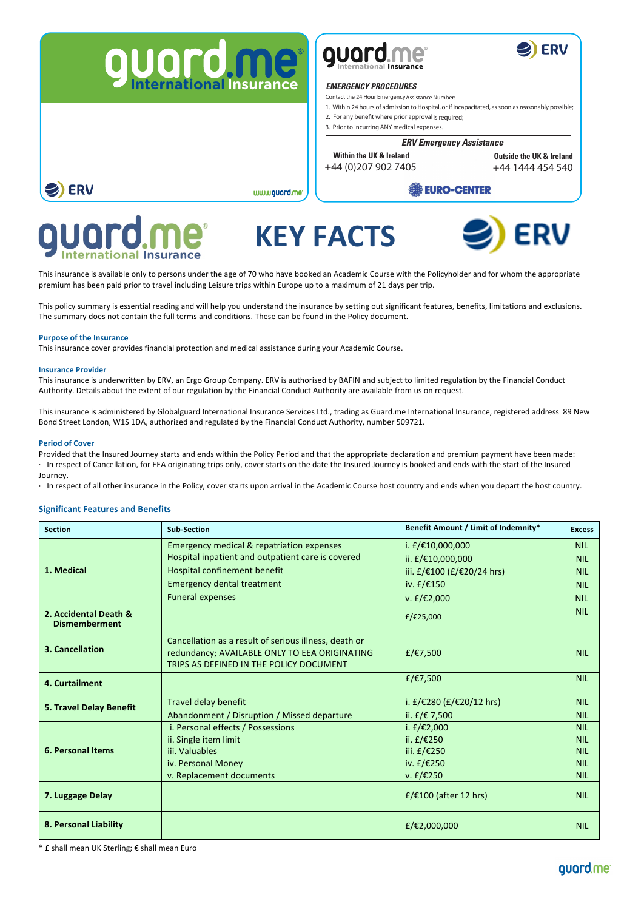





## **International Insurance EMERGENCY PROCEDURES**

Contact the 24 Hour EmergencyAssistance Number:

1. Within 24 hours of admission to Hospital, or if incapacitated, as soon as reasonably possible;

- 2. For any benefit where prior approval is required;
- 3. Prior to incurring ANY medical expenses.

#### **ERV Emergency Assistance**

+44 (0)207 902 7405 **Within the UK & Ireland Outside the UK & Ireland**

+44 1444 454 540

# **EURO-CENTER**



 $\mathbf{N}$   $\mathbf{N}$   $\mathbf{N}$   $\mathbf{N}$   $\mathbf{N}$   $\mathbf{N}$   $\mathbf{N}$   $\mathbf{N}$   $\mathbf{N}$   $\mathbf{N}$   $\mathbf{N}$   $\mathbf{N}$   $\mathbf{N}$   $\mathbf{N}$   $\mathbf{N}$   $\mathbf{N}$   $\mathbf{N}$   $\mathbf{N}$   $\mathbf{N}$   $\mathbf{N}$   $\mathbf{N}$   $\mathbf{N}$   $\mathbf{N}$   $\mathbf{N}$   $\mathbf{$ **KEY FACTS**



This insurance is available only to persons under the age of 70 who have booked an Academic Course with the Policyholder and for whom the appropriate premium has been paid prior to travel including Leisure trips within Europe up to a maximum of 21 days per trip.

www.guard.me

This policy summary is essential reading and will help you understand the insurance by setting out significant features, benefits, limitations and exclusions. The summary does not contain the full terms and conditions. These can be found in the Policy document.

## **Purpose of the Insurance**

**ERV** 

This insurance cover provides financial protection and medical assistance during your Academic Course.

#### **Insurance Provider**

This insurance is underwritten by ERV, an Ergo Group Company. ERV is authorised by BAFIN and subject to limited regulation by the Financial Conduct Authority. Details about the extent of our regulation by the Financial Conduct Authority are available from us on request.

This insurance is administered by Globalguard International Insurance Services Ltd., trading as Guard.me International Insurance, registered address 89 New Bond Street London, W1S 1DA, authorized and regulated by the Financial Conduct Authority, number 509721.

## **Period of Cover**

Provided that the Insured Journey starts and ends within the Policy Period and that the appropriate declaration and premium payment have been made: · In respect of Cancellation, for EEA originating trips only, cover starts on the date the Insured Journey is booked and ends with the start of the Insured Journey.

· In respect of all other insurance in the Policy, cover starts upon arrival in the Academic Course host country and ends when you depart the host country.

## **Significant Features and Benefits**

| <b>Section</b>                                | <b>Sub-Section</b>                                                                                                                                | Benefit Amount / Limit of Indemnity* | <b>Excess</b> |
|-----------------------------------------------|---------------------------------------------------------------------------------------------------------------------------------------------------|--------------------------------------|---------------|
| 1. Medical                                    | <b>Emergency medical &amp; repatriation expenses</b>                                                                                              | i. £/€10,000,000                     | <b>NIL</b>    |
|                                               | Hospital inpatient and outpatient care is covered                                                                                                 | ii. £/€10,000,000                    | <b>NIL</b>    |
|                                               | Hospital confinement benefit                                                                                                                      | iii. £/€100 (£/€20/24 hrs)           | <b>NIL</b>    |
|                                               | <b>Emergency dental treatment</b>                                                                                                                 | iv. $f/\epsilon$ 150                 | <b>NIL</b>    |
|                                               | <b>Funeral expenses</b>                                                                                                                           | $v. f$ £/€2,000                      | <b>NIL</b>    |
| 2. Accidental Death &<br><b>Dismemberment</b> |                                                                                                                                                   | £/€25,000                            | <b>NIL</b>    |
| 3. Cancellation                               | Cancellation as a result of serious illness, death or<br>redundancy; AVAILABLE ONLY TO EEA ORIGINATING<br>TRIPS AS DEFINED IN THE POLICY DOCUMENT | £/€7,500                             | <b>NIL</b>    |
| 4. Curtailment                                |                                                                                                                                                   | £/€7,500                             | <b>NIL</b>    |
| 5. Travel Delay Benefit                       | Travel delay benefit                                                                                                                              | i. £/€280 (£/€20/12 hrs)             | <b>NIL</b>    |
|                                               | Abandonment / Disruption / Missed departure                                                                                                       | ii. £/€ 7,500                        | <b>NIL</b>    |
| <b>6. Personal Items</b>                      | i. Personal effects / Possessions                                                                                                                 | i. £/€2,000                          | <b>NIL</b>    |
|                                               | ii. Single item limit                                                                                                                             | ii. £/€250                           | <b>NIL</b>    |
|                                               | iii. Valuables                                                                                                                                    | iii. £/€250                          | <b>NIL</b>    |
|                                               | iv. Personal Money                                                                                                                                | iv. £/€250                           | <b>NIL</b>    |
|                                               | v. Replacement documents                                                                                                                          | v. $f$ / $f$ 250                     | <b>NIL</b>    |
| 7. Luggage Delay                              |                                                                                                                                                   | £/€100 (after 12 hrs)                | <b>NIL</b>    |
| 8. Personal Liability                         |                                                                                                                                                   | £/€2,000,000                         | <b>NIL</b>    |

\* £ shall mean UK Sterling; € shall mean Euro